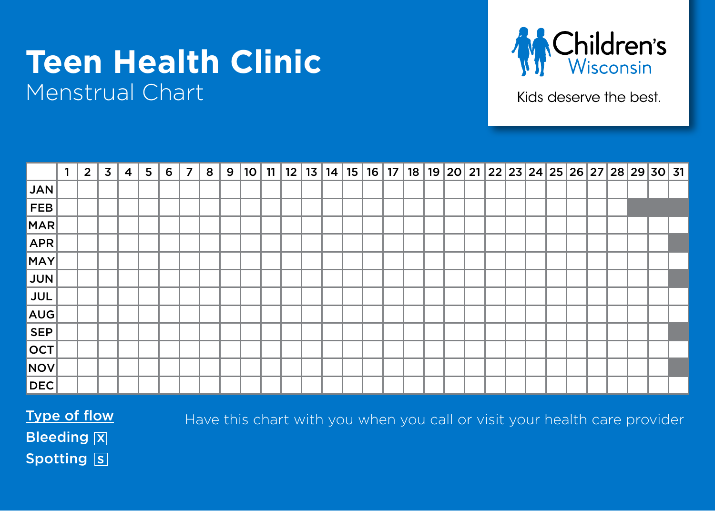## **Teen Health Clinic** Menstrual Chart



Kids deserve the best.

|            | $\mathbf{1}$ | $\overline{2}$ | 3 | 4 | 5 | 6 | $\overline{7}$ | 8 | 9 | 10 |  |  | $11 \mid 12 \mid 13 \mid 14 \mid 15 \mid 16 \mid$ |  | 17   18   19   20   21   22   23   24   25   26   27   28   29   30   31 |  |  |  |  |  |  |
|------------|--------------|----------------|---|---|---|---|----------------|---|---|----|--|--|---------------------------------------------------|--|--------------------------------------------------------------------------|--|--|--|--|--|--|
| JAN        |              |                |   |   |   |   |                |   |   |    |  |  |                                                   |  |                                                                          |  |  |  |  |  |  |
| FEB        |              |                |   |   |   |   |                |   |   |    |  |  |                                                   |  |                                                                          |  |  |  |  |  |  |
| MAR        |              |                |   |   |   |   |                |   |   |    |  |  |                                                   |  |                                                                          |  |  |  |  |  |  |
| <b>APR</b> |              |                |   |   |   |   |                |   |   |    |  |  |                                                   |  |                                                                          |  |  |  |  |  |  |
| MAY        |              |                |   |   |   |   |                |   |   |    |  |  |                                                   |  |                                                                          |  |  |  |  |  |  |
| <b>JUN</b> |              |                |   |   |   |   |                |   |   |    |  |  |                                                   |  |                                                                          |  |  |  |  |  |  |
| <b>JUL</b> |              |                |   |   |   |   |                |   |   |    |  |  |                                                   |  |                                                                          |  |  |  |  |  |  |
| AUG        |              |                |   |   |   |   |                |   |   |    |  |  |                                                   |  |                                                                          |  |  |  |  |  |  |
| <b>SEP</b> |              |                |   |   |   |   |                |   |   |    |  |  |                                                   |  |                                                                          |  |  |  |  |  |  |
| OCT        |              |                |   |   |   |   |                |   |   |    |  |  |                                                   |  |                                                                          |  |  |  |  |  |  |
| NOV        |              |                |   |   |   |   |                |   |   |    |  |  |                                                   |  |                                                                          |  |  |  |  |  |  |
| <b>DEC</b> |              |                |   |   |   |   |                |   |   |    |  |  |                                                   |  |                                                                          |  |  |  |  |  |  |

Type of flow

Have this chart with you when you call or visit your health care provider

**Bleeding X** Spotting S